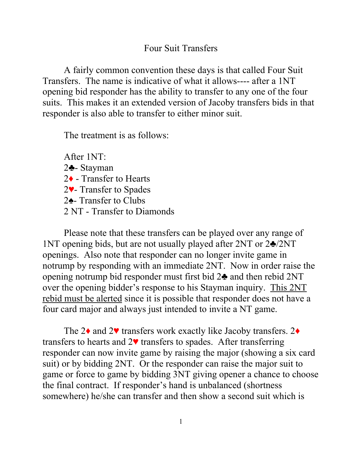## Four Suit Transfers

A fairly common convention these days is that called Four Suit Transfers. The name is indicative of what it allows---- after a 1NT opening bid responder has the ability to transfer to any one of the four suits. This makes it an extended version of Jacoby transfers bids in that responder is also able to transfer to either minor suit.

The treatment is as follows:

After 1NT: ♣- Stayman ♦ - Transfer to Hearts ♥- Transfer to Spades ♠- Transfer to Clubs 2 NT - Transfer to Diamonds

Please note that these transfers can be played over any range of 1NT opening bids, but are not usually played after 2NT or 2♣/2NT openings. Also note that responder can no longer invite game in notrump by responding with an immediate 2NT. Now in order raise the opening notrump bid responder must first bid 2♣ and then rebid 2NT over the opening bidder's response to his Stayman inquiry. This 2NT rebid must be alerted since it is possible that responder does not have a four card major and always just intended to invite a NT game.

The 2♦ and 2♥ transfers work exactly like Jacoby transfers. 2♦ transfers to hearts and  $2\blacktriangledown$  transfers to spades. After transferring responder can now invite game by raising the major (showing a six card suit) or by bidding 2NT. Or the responder can raise the major suit to game or force to game by bidding 3NT giving opener a chance to choose the final contract. If responder's hand is unbalanced (shortness somewhere) he/she can transfer and then show a second suit which is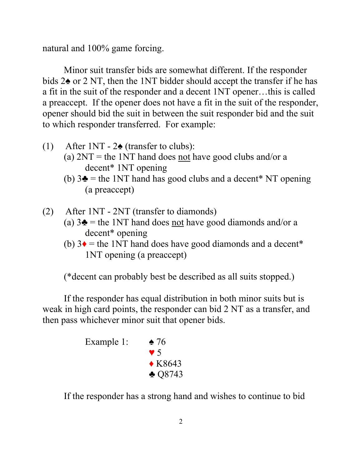natural and 100% game forcing.

Minor suit transfer bids are somewhat different. If the responder bids 2♠ or 2 NT, then the 1NT bidder should accept the transfer if he has a fit in the suit of the responder and a decent 1NT opener…this is called a preaccept. If the opener does not have a fit in the suit of the responder, opener should bid the suit in between the suit responder bid and the suit to which responder transferred. For example:

- (1) After  $1NT 2\cdot$  (transfer to clubs):
	- (a)  $2NT =$  the 1NT hand does not have good clubs and/or a decent\* 1NT opening
	- (b)  $3\clubsuit$  = the 1NT hand has good clubs and a decent\* NT opening (a preaccept)
- (2) After 1NT 2NT (transfer to diamonds)
	- (a)  $3\blacktriangle$  = the 1NT hand does not have good diamonds and/or a decent\* opening
	- (b)  $3\bullet$  = the 1NT hand does have good diamonds and a decent\* 1NT opening (a preaccept)

(\*decent can probably best be described as all suits stopped.)

If the responder has equal distribution in both minor suits but is weak in high card points, the responder can bid 2 NT as a transfer, and then pass whichever minor suit that opener bids.



If the responder has a strong hand and wishes to continue to bid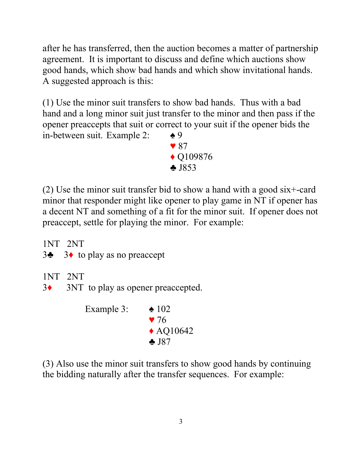after he has transferred, then the auction becomes a matter of partnership agreement. It is important to discuss and define which auctions show good hands, which show bad hands and which show invitational hands. A suggested approach is this:

(1) Use the minor suit transfers to show bad hands. Thus with a bad hand and a long minor suit just transfer to the minor and then pass if the opener preaccepts that suit or correct to your suit if the opener bids the in-between suit. Example 2:  $\triangleq 9$ 

 $\sqrt{87}$  ♦ Q109876 ♣ J853

(2) Use the minor suit transfer bid to show a hand with a good six+-card minor that responder might like opener to play game in NT if opener has a decent NT and something of a fit for the minor suit. If opener does not preaccept, settle for playing the minor. For example:

1NT 2NT

| 3 $\bullet$ 3 to play as no preaccept |  |  |
|---------------------------------------|--|--|
|---------------------------------------|--|--|

- 1NT 2NT
- 3♦ 3NT to play as opener preaccepted.

Example 3:  $\triangle$  102  $\blacktriangledown$  76 ◆ AQ10642 ♣ J87

(3) Also use the minor suit transfers to show good hands by continuing the bidding naturally after the transfer sequences. For example: